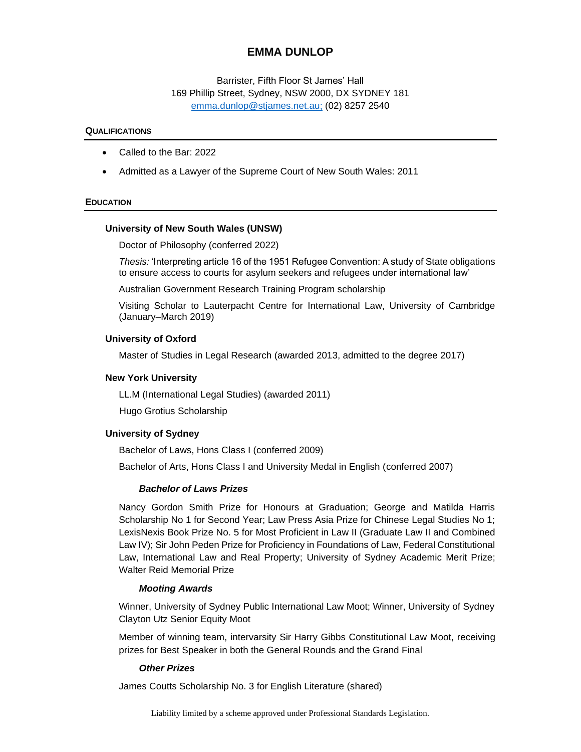# **EMMA DUNLOP**

Barrister, Fifth Floor St James' Hall 169 Phillip Street, Sydney, NSW 2000, DX SYDNEY 181 [emma.dunlop@stjames.net.au;](mailto:emma.dunlop@stjames.net.au) (02) 8257 2540

#### **QUALIFICATIONS**

- Called to the Bar: 2022
- Admitted as a Lawyer of the Supreme Court of New South Wales: 2011

### **EDUCATION**

#### **University of New South Wales (UNSW)**

Doctor of Philosophy (conferred 2022)

*Thesis:* 'Interpreting article 16 of the 1951 Refugee Convention: A study of State obligations to ensure access to courts for asylum seekers and refugees under international law'

Australian Government Research Training Program scholarship

Visiting Scholar to Lauterpacht Centre for International Law, University of Cambridge (January–March 2019)

#### **University of Oxford**

Master of Studies in Legal Research (awarded 2013, admitted to the degree 2017)

#### **New York University**

LL.M (International Legal Studies) (awarded 2011)

Hugo Grotius Scholarship

### **University of Sydney**

Bachelor of Laws, Hons Class I (conferred 2009)

Bachelor of Arts, Hons Class I and University Medal in English (conferred 2007)

#### *Bachelor of Laws Prizes*

Nancy Gordon Smith Prize for Honours at Graduation; George and Matilda Harris Scholarship No 1 for Second Year; Law Press Asia Prize for Chinese Legal Studies No 1; LexisNexis Book Prize No. 5 for Most Proficient in Law II (Graduate Law II and Combined Law IV); Sir John Peden Prize for Proficiency in Foundations of Law, Federal Constitutional Law, International Law and Real Property; University of Sydney Academic Merit Prize; Walter Reid Memorial Prize

#### *Mooting Awards*

Winner, University of Sydney Public International Law Moot; Winner, University of Sydney Clayton Utz Senior Equity Moot

Member of winning team, intervarsity Sir Harry Gibbs Constitutional Law Moot, receiving prizes for Best Speaker in both the General Rounds and the Grand Final

## *Other Prizes*

James Coutts Scholarship No. 3 for English Literature (shared)